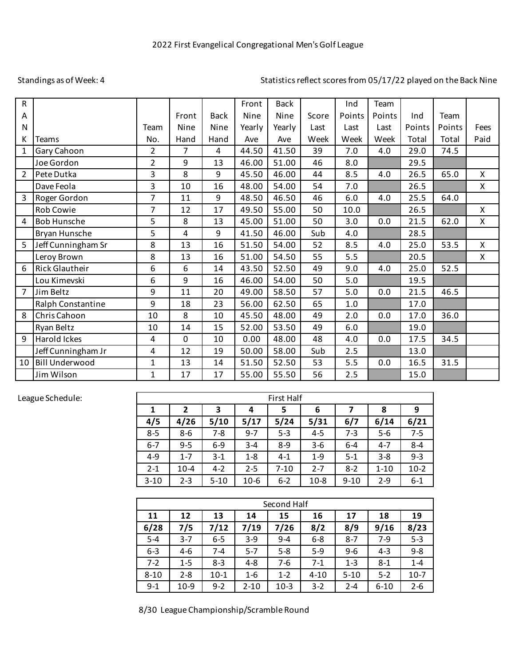## Standings as of Week: 4

## Statistics reflect scores from 05/17/22 played on the Back Nine

| $\mathsf{R}$   |                       |                |       |                | Front       | <b>Back</b> |       | Ind    | Team   |        |        |                           |
|----------------|-----------------------|----------------|-------|----------------|-------------|-------------|-------|--------|--------|--------|--------|---------------------------|
| Α              |                       |                | Front | <b>Back</b>    | <b>Nine</b> | Nine        | Score | Points | Points | Ind    | Team   |                           |
| $\mathsf{N}$   |                       | Team           | Nine  | Nine           | Yearly      | Yearly      | Last  | Last   | Last   | Points | Points | Fees                      |
| К              | <b>Teams</b>          | No.            | Hand  | Hand           | Ave         | Ave         | Week  | Week   | Week   | Total  | Total  | Paid                      |
| $\mathbf{1}$   | Gary Cahoon           | 2              | 7     | $\overline{4}$ | 44.50       | 41.50       | 39    | 7.0    | 4.0    | 29.0   | 74.5   |                           |
|                | Joe Gordon            | 2              | 9     | 13             | 46.00       | 51.00       | 46    | 8.0    |        | 29.5   |        |                           |
| $\overline{2}$ | Pete Dutka            | 3              | 8     | 9              | 45.50       | 46.00       | 44    | 8.5    | 4.0    | 26.5   | 65.0   | X                         |
|                | Dave Feola            | 3              | 10    | 16             | 48.00       | 54.00       | 54    | 7.0    |        | 26.5   |        | X                         |
| $\overline{3}$ | Roger Gordon          | $\overline{7}$ | 11    | 9              | 48.50       | 46.50       | 46    | 6.0    | 4.0    | 25.5   | 64.0   |                           |
|                | <b>Rob Cowie</b>      | $\overline{7}$ | 12    | 17             | 49.50       | 55.00       | 50    | 10.0   |        | 26.5   |        | X                         |
| 4              | <b>Bob Hunsche</b>    | 5              | 8     | 13             | 45.00       | 51.00       | 50    | 3.0    | 0.0    | 21.5   | 62.0   | X                         |
|                | Bryan Hunsche         | 5              | 4     | 9              | 41.50       | 46.00       | Sub   | 4.0    |        | 28.5   |        |                           |
| 5              | Jeff Cunningham Sr    | 8              | 13    | 16             | 51.50       | 54.00       | 52    | 8.5    | 4.0    | 25.0   | 53.5   | X                         |
|                | Leroy Brown           | 8              | 13    | 16             | 51.00       | 54.50       | 55    | 5.5    |        | 20.5   |        | $\boldsymbol{\mathsf{X}}$ |
| 6              | <b>Rick Glautheir</b> | 6              | 6     | 14             | 43.50       | 52.50       | 49    | 9.0    | 4.0    | 25.0   | 52.5   |                           |
|                | Lou Kimevski          | 6              | 9     | 16             | 46.00       | 54.00       | 50    | 5.0    |        | 19.5   |        |                           |
| $\overline{7}$ | Jim Beltz             | 9              | 11    | 20             | 49.00       | 58.50       | 57    | 5.0    | 0.0    | 21.5   | 46.5   |                           |
|                | Ralph Constantine     | 9              | 18    | 23             | 56.00       | 62.50       | 65    | 1.0    |        | 17.0   |        |                           |
| 8              | Chris Cahoon          | 10             | 8     | 10             | 45.50       | 48.00       | 49    | 2.0    | 0.0    | 17.0   | 36.0   |                           |
|                | Ryan Beltz            | 10             | 14    | 15             | 52.00       | 53.50       | 49    | 6.0    |        | 19.0   |        |                           |
| 9              | Harold Ickes          | 4              | 0     | 10             | 0.00        | 48.00       | 48    | 4.0    | 0.0    | 17.5   | 34.5   |                           |
|                | Jeff Cunningham Jr    | 4              | 12    | 19             | 50.00       | 58.00       | Sub   | 2.5    |        | 13.0   |        |                           |
| 10             | <b>Bill Underwood</b> | 1              | 13    | 14             | 51.50       | 52.50       | 53    | 5.5    | 0.0    | 16.5   | 31.5   |                           |
|                | Jim Wilson            | 1              | 17    | 17             | 55.00       | 55.50       | 56    | 2.5    |        | 15.0   |        |                           |

## League Schedule:

| <b>First Half</b> |             |          |         |          |         |          |          |         |
|-------------------|-------------|----------|---------|----------|---------|----------|----------|---------|
| 1                 | 3<br>2<br>4 |          |         | 5        | 6       |          | 8        | 9       |
| 4/5               | 4/26        | 5/10     | 5/17    | 5/24     | 5/31    | 6/7      | 6/14     | 6/21    |
| $8 - 5$           | 8-6         | $7 - 8$  | $9 - 7$ | $5 - 3$  | $4 - 5$ | 7-3      | $5-6$    | $7 - 5$ |
| $6-7$             | $9 - 5$     | $6-9$    | $3 - 4$ | $8-9$    | $3-6$   | $6 - 4$  | $4 - 7$  | $8 - 4$ |
| 4-9               | $1 - 7$     | $3-1$    | $1 - 8$ | $4-1$    | $1-9$   | $5-1$    | $3 - 8$  | $9 - 3$ |
| $2 - 1$           | $10 - 4$    | $4-2$    | $2 - 5$ | $7 - 10$ | $2 - 7$ | $8-2$    | $1 - 10$ | $10-2$  |
| $3 - 10$          | $2 - 3$     | $5 - 10$ | $10-6$  | $6 - 2$  | $10-8$  | $9 - 10$ | $2 - 9$  | $6 - 1$ |

| Second Half |         |         |          |         |          |          |          |         |
|-------------|---------|---------|----------|---------|----------|----------|----------|---------|
| 11          | 12      | 13      | 14       | 15      | 16       | 17       | 18       | 19      |
| 6/28        | 7/5     | 7/12    | 7/19     | 7/26    | 8/2      | 8/9      | 9/16     | 8/23    |
| $5 - 4$     | $3 - 7$ | $6-5$   | $3-9$    | $9 - 4$ | $6 - 8$  | $8 - 7$  | $7-9$    | $5 - 3$ |
| $6 - 3$     | 4-6     | $7 - 4$ | $5 - 7$  | $5-8$   | $5-9$    | $9-6$    | $4 - 3$  | $9 - 8$ |
| $7-2$       | $1 - 5$ | $8 - 3$ | $4 - 8$  | 7-6     | $7-1$    | $1 - 3$  | $8-1$    | $1 - 4$ |
| $8 - 10$    | $2 - 8$ | $10-1$  | $1 - 6$  | $1 - 2$ | $4 - 10$ | $5 - 10$ | $5 - 2$  | $10-7$  |
| $9-1$       | $10-9$  | $9 - 2$ | $2 - 10$ | $10-3$  | $3-2$    | $2 - 4$  | $6 - 10$ | $2 - 6$ |

8/30 League Championship/Scramble Round